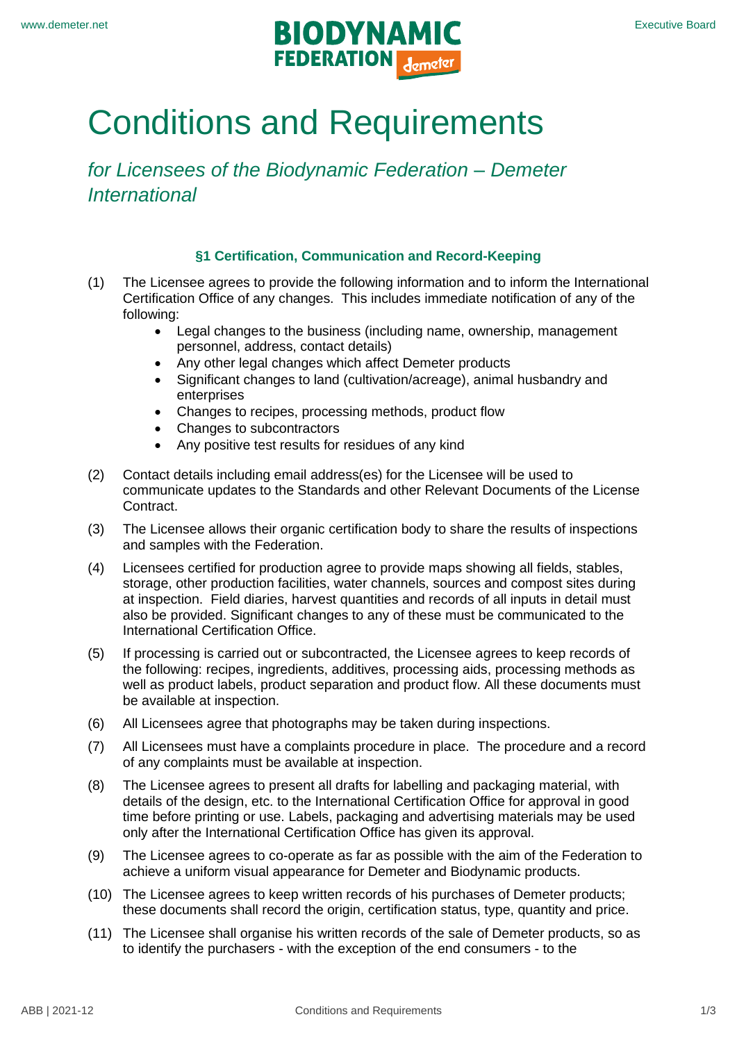

# Conditions and Requirements

*for Licensees of the Biodynamic Federation – Demeter International*

## **§1 Certification, Communication and Record-Keeping**

- (1) The Licensee agrees to provide the following information and to inform the International Certification Office of any changes. This includes immediate notification of any of the following:
	- Legal changes to the business (including name, ownership, management personnel, address, contact details)
	- Any other legal changes which affect Demeter products
	- Significant changes to land (cultivation/acreage), animal husbandry and enterprises
	- Changes to recipes, processing methods, product flow
	- Changes to subcontractors
	- Any positive test results for residues of any kind
- (2) Contact details including email address(es) for the Licensee will be used to communicate updates to the Standards and other Relevant Documents of the License Contract.
- (3) The Licensee allows their organic certification body to share the results of inspections and samples with the Federation.
- (4) Licensees certified for production agree to provide maps showing all fields, stables, storage, other production facilities, water channels, sources and compost sites during at inspection. Field diaries, harvest quantities and records of all inputs in detail must also be provided. Significant changes to any of these must be communicated to the International Certification Office.
- (5) If processing is carried out or subcontracted, the Licensee agrees to keep records of the following: recipes, ingredients, additives, processing aids, processing methods as well as product labels, product separation and product flow. All these documents must be available at inspection.
- (6) All Licensees agree that photographs may be taken during inspections.
- (7) All Licensees must have a complaints procedure in place. The procedure and a record of any complaints must be available at inspection.
- (8) The Licensee agrees to present all drafts for labelling and packaging material, with details of the design, etc. to the International Certification Office for approval in good time before printing or use. Labels, packaging and advertising materials may be used only after the International Certification Office has given its approval.
- (9) The Licensee agrees to co-operate as far as possible with the aim of the Federation to achieve a uniform visual appearance for Demeter and Biodynamic products.
- (10) The Licensee agrees to keep written records of his purchases of Demeter products; these documents shall record the origin, certification status, type, quantity and price.
- (11) The Licensee shall organise his written records of the sale of Demeter products, so as to identify the purchasers - with the exception of the end consumers - to the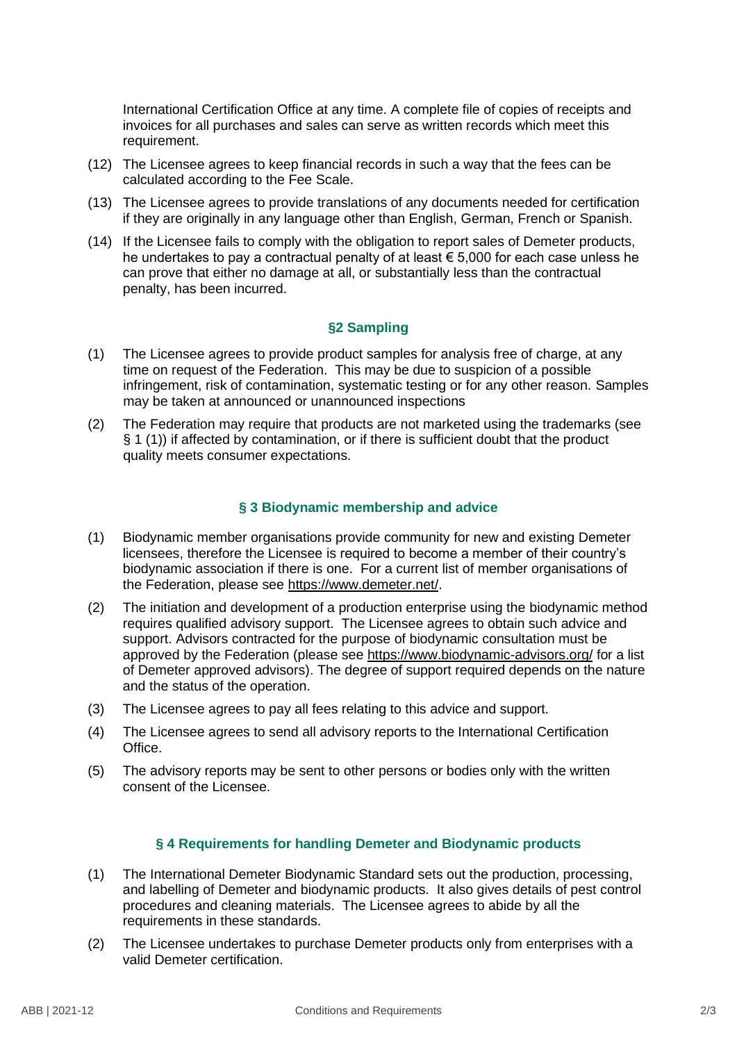International Certification Office at any time. A complete file of copies of receipts and invoices for all purchases and sales can serve as written records which meet this requirement.

- (12) The Licensee agrees to keep financial records in such a way that the fees can be calculated according to the Fee Scale.
- (13) The Licensee agrees to provide translations of any documents needed for certification if they are originally in any language other than English, German, French or Spanish.
- (14) If the Licensee fails to comply with the obligation to report sales of Demeter products, he undertakes to pay a contractual penalty of at least € 5,000 for each case unless he can prove that either no damage at all, or substantially less than the contractual penalty, has been incurred.

## **§2 Sampling**

- (1) The Licensee agrees to provide product samples for analysis free of charge, at any time on request of the Federation. This may be due to suspicion of a possible infringement, risk of contamination, systematic testing or for any other reason. Samples may be taken at announced or unannounced inspections
- (2) The Federation may require that products are not marketed using the trademarks (see § 1 (1)) if affected by contamination, or if there is sufficient doubt that the product quality meets consumer expectations.

## **§ 3 Biodynamic membership and advice**

- (1) Biodynamic member organisations provide community for new and existing Demeter licensees, therefore the Licensee is required to become a member of their country's biodynamic association if there is one. For a current list of member organisations of the Federation, please see https://www.demeter.net/.
- (2) The initiation and development of a production enterprise using the biodynamic method requires qualified advisory support. The Licensee agrees to obtain such advice and support. Advisors contracted for the purpose of biodynamic consultation must be approved by the Federation (please see<https://www.biodynamic-advisors.org/> for a list of Demeter approved advisors). The degree of support required depends on the nature and the status of the operation.
- (3) The Licensee agrees to pay all fees relating to this advice and support.
- (4) The Licensee agrees to send all advisory reports to the International Certification Office.
- (5) The advisory reports may be sent to other persons or bodies only with the written consent of the Licensee.

## **§ 4 Requirements for handling Demeter and Biodynamic products**

- (1) The International Demeter Biodynamic Standard sets out the production, processing, and labelling of Demeter and biodynamic products. It also gives details of pest control procedures and cleaning materials. The Licensee agrees to abide by all the requirements in these standards.
- (2) The Licensee undertakes to purchase Demeter products only from enterprises with a valid Demeter certification.